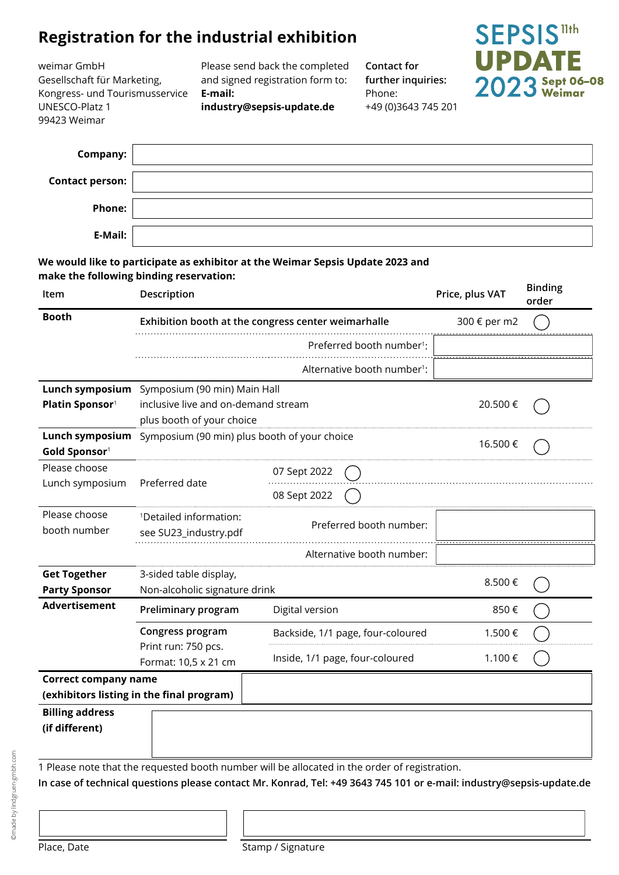# **Registration for the industrial exhibition**

weimar GmbH Gesellschaft für Marketing, Kongress- und Tourismusservice UNESCO-Platz 1 99423 Weimar

Please send back the completed and signed registration form to: **E-mail:** 

**industry@sepsis-update.de**

**Contact for further inquiries:** Phone: +49 (0)3643 745 201



| <b>Company:</b>        |  |
|------------------------|--|
| <b>Contact person:</b> |  |
| <b>Phone:</b>          |  |
| E-Mail:                |  |

### **We would like to participate as exhibitor at the Weimar Sepsis Update 2023 and make the following binding reservation:**

| Item                                        | Description                                                      |                                                     | Price, plus VAT | <b>Binding</b><br>order |
|---------------------------------------------|------------------------------------------------------------------|-----------------------------------------------------|-----------------|-------------------------|
| <b>Booth</b>                                |                                                                  | Exhibition booth at the congress center weimarhalle | 300 € per m2    |                         |
|                                             |                                                                  | Preferred booth number <sup>1</sup> :               |                 |                         |
|                                             |                                                                  | Alternative booth number <sup>1</sup> :             |                 |                         |
| Lunch symposium                             |                                                                  | Symposium (90 min) Main Hall                        |                 |                         |
| Platin Sponsor <sup>1</sup>                 | inclusive live and on-demand stream<br>plus booth of your choice |                                                     | 20.500€         |                         |
| Lunch symposium<br><b>Gold Sponsor1</b>     | Symposium (90 min) plus booth of your choice                     |                                                     | 16.500€         |                         |
| Please choose                               |                                                                  | 07 Sept 2022                                        |                 |                         |
| Lunch symposium                             | Preferred date                                                   | 08 Sept 2022                                        |                 |                         |
| Please choose                               | <sup>1</sup> Detailed information:                               | Preferred booth number:                             |                 |                         |
| booth number                                | see SU23_industry.pdf                                            |                                                     |                 |                         |
|                                             |                                                                  | Alternative booth number:                           |                 |                         |
| <b>Get Together</b><br><b>Party Sponsor</b> | 3-sided table display,<br>Non-alcoholic signature drink          |                                                     | 8.500€          |                         |
| <b>Advertisement</b>                        | Preliminary program                                              | Digital version                                     | 850€            |                         |
|                                             | Congress program                                                 | Backside, 1/1 page, four-coloured                   | 1.500€          |                         |
|                                             | Print run: 750 pcs.<br>Format: 10,5 x 21 cm                      | Inside, 1/1 page, four-coloured                     | 1.100€          |                         |
| <b>Correct company name</b>                 |                                                                  |                                                     |                 |                         |
| (exhibitors listing in the final program)   |                                                                  |                                                     |                 |                         |
| <b>Billing address</b><br>(if different)    |                                                                  |                                                     |                 |                         |
|                                             |                                                                  |                                                     |                 |                         |

1 Please note that the requested booth number will be allocated in the order of registration.

**In case of technical questions please contact Mr. Konrad, Tel: +49 3643 745 101 or e-mail: [industry@sepsis-update](mailto:konrad%40weimarhalle.de?subject=).de**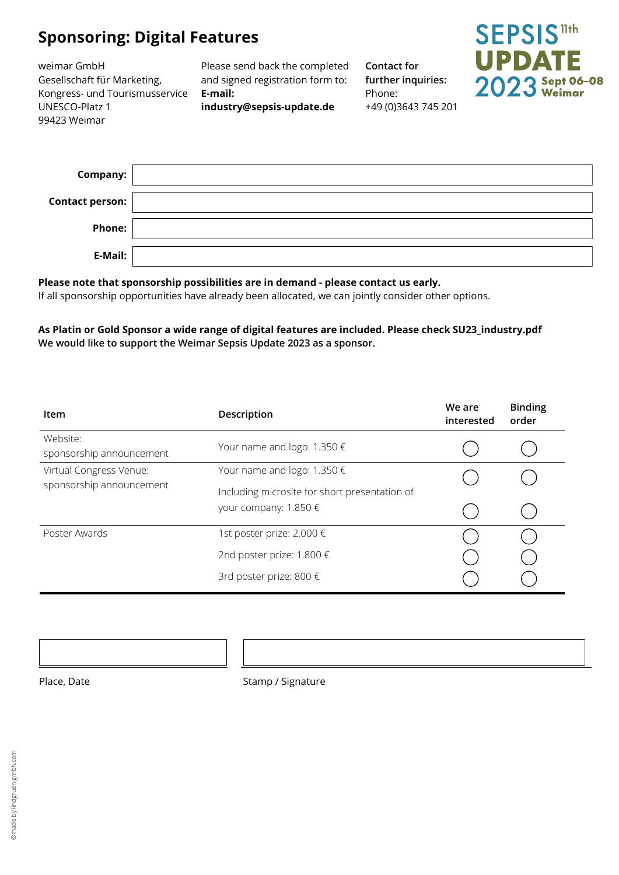# **Sponsoring: Digital Features**

weimar GmbH Gesellschaft für Marketing, Kongress- und Tourismusservice UNESCO-Platz 1 99423 Weimar

Please send back the completed and signed registration form to: **E-mail: industry@sepsis-update.de**

**Contact for further inquiries:** Phone: +49 (0)3643 745 201



| Company:               |  |
|------------------------|--|
| <b>Contact person:</b> |  |
| <b>Phone:</b>          |  |
| E-Mail:                |  |

## **Please note that sponsorship possibilities are in demand - please contact us early.**

If all sponsorship opportunities have already been allocated, we can jointly consider other options.

#### **As Platin or Gold Sponsor a wide range of digital features are included. Please check SU23\_industry.pdf We would like to support the Weimar Sepsis Update 2023 as a sponsor.**

| Item                                                | Description                                                                      | We are<br>interested | <b>Binding</b><br>order |
|-----------------------------------------------------|----------------------------------------------------------------------------------|----------------------|-------------------------|
| Website:<br>sponsorship announcement                | Your name and logo: $1.350 \in$                                                  |                      |                         |
| Virtual Congress Venue:<br>sponsorship announcement | Your name and logo: $1.350 \in$<br>Including microsite for short presentation of |                      |                         |
|                                                     | your company: $1.850 \in$                                                        |                      |                         |
| Poster Awards                                       | 1st poster prize: 2.000 €                                                        |                      |                         |
|                                                     | 2nd poster prize: 1.800 €                                                        |                      |                         |
|                                                     | 3rd poster prize: 800 €                                                          |                      |                         |

Place, Date Stamp / Signature